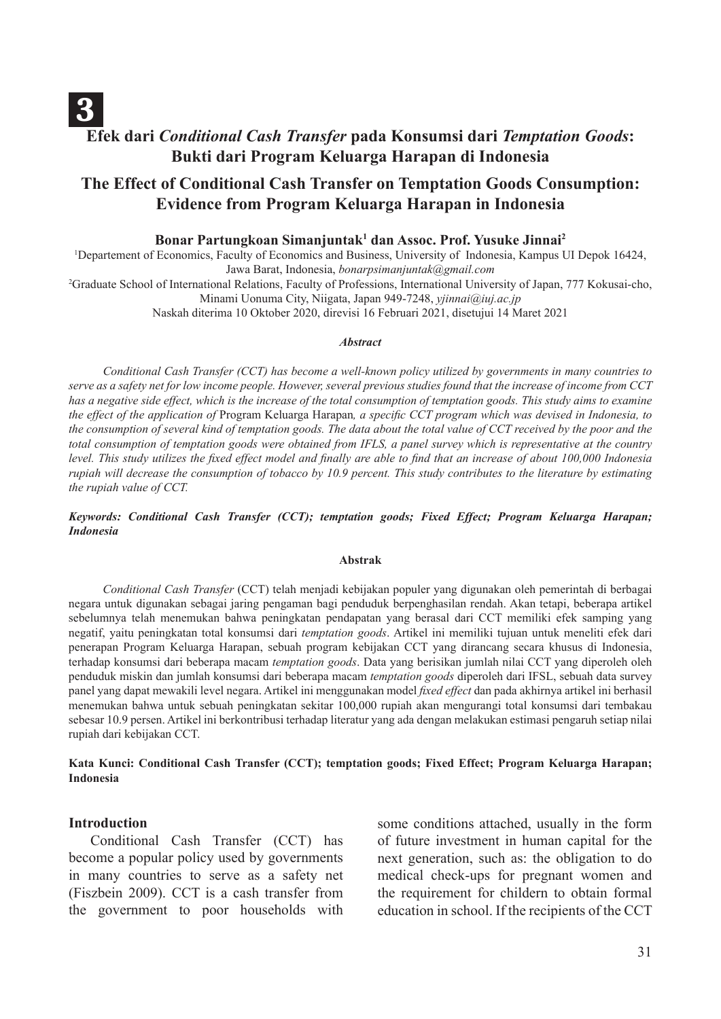# 3 **Efek dari** *Conditional Cash Transfer* **pada Konsumsi dari** *Temptation Goods***: Bukti dari Program Keluarga Harapan di Indonesia**

# **The Effect of Conditional Cash Transfer on Temptation Goods Consumption: Evidence from Program Keluarga Harapan in Indonesia**

#### **Bonar Partungkoan Simanjuntak1 dan Assoc. Prof. Yusuke Jinnai2**

1 Departement of Economics, Faculty of Economics and Business, University of Indonesia, Kampus UI Depok 16424, Jawa Barat, Indonesia, *bonarpsimanjuntak@gmail.com* 2 Graduate School of International Relations, Faculty of Professions, International University of Japan, 777 Kokusai-cho, Minami Uonuma City, Niigata, Japan 949-7248, *yjinnai@iuj.ac.jp*

Naskah diterima 10 Oktober 2020, direvisi 16 Februari 2021, disetujui 14 Maret 2021

#### *Abstract*

*Conditional Cash Transfer (CCT) has become a well-known policy utilized by governments in many countries to serve as a safety net for low income people. However, several previous studies found that the increase of income from CCT has a negative side effect, which is the increase of the total consumption of temptation goods. This study aims to examine the effect of the application of* Program Keluarga Harapan*, a specific CCT program which was devised in Indonesia, to the consumption of several kind of temptation goods. The data about the total value of CCT received by the poor and the total consumption of temptation goods were obtained from IFLS, a panel survey which is representative at the country level. This study utilizes the fixed effect model and finally are able to find that an increase of about 100,000 Indonesia rupiah will decrease the consumption of tobacco by 10.9 percent. This study contributes to the literature by estimating the rupiah value of CCT.*

*Keywords: Conditional Cash Transfer (CCT); temptation goods; Fixed Effect; Program Keluarga Harapan; Indonesia*

#### **Abstrak**

*Conditional Cash Transfer* (CCT) telah menjadi kebijakan populer yang digunakan oleh pemerintah di berbagai negara untuk digunakan sebagai jaring pengaman bagi penduduk berpenghasilan rendah. Akan tetapi, beberapa artikel sebelumnya telah menemukan bahwa peningkatan pendapatan yang berasal dari CCT memiliki efek samping yang negatif, yaitu peningkatan total konsumsi dari *temptation goods*. Artikel ini memiliki tujuan untuk meneliti efek dari penerapan Program Keluarga Harapan, sebuah program kebijakan CCT yang dirancang secara khusus di Indonesia, terhadap konsumsi dari beberapa macam *temptation goods*. Data yang berisikan jumlah nilai CCT yang diperoleh oleh penduduk miskin dan jumlah konsumsi dari beberapa macam *temptation goods* diperoleh dari IFSL, sebuah data survey panel yang dapat mewakili level negara. Artikel ini menggunakan model *fixed effect* dan pada akhirnya artikel ini berhasil menemukan bahwa untuk sebuah peningkatan sekitar 100,000 rupiah akan mengurangi total konsumsi dari tembakau sebesar 10.9 persen. Artikel ini berkontribusi terhadap literatur yang ada dengan melakukan estimasi pengaruh setiap nilai rupiah dari kebijakan CCT.

**Kata Kunci: Conditional Cash Transfer (CCT); temptation goods; Fixed Effect; Program Keluarga Harapan; Indonesia** 

#### **Introduction**

Conditional Cash Transfer (CCT) has become a popular policy used by governments in many countries to serve as a safety net (Fiszbein 2009). CCT is a cash transfer from the government to poor households with some conditions attached, usually in the form of future investment in human capital for the next generation, such as: the obligation to do medical check-ups for pregnant women and the requirement for childern to obtain formal education in school. If the recipients of the CCT

31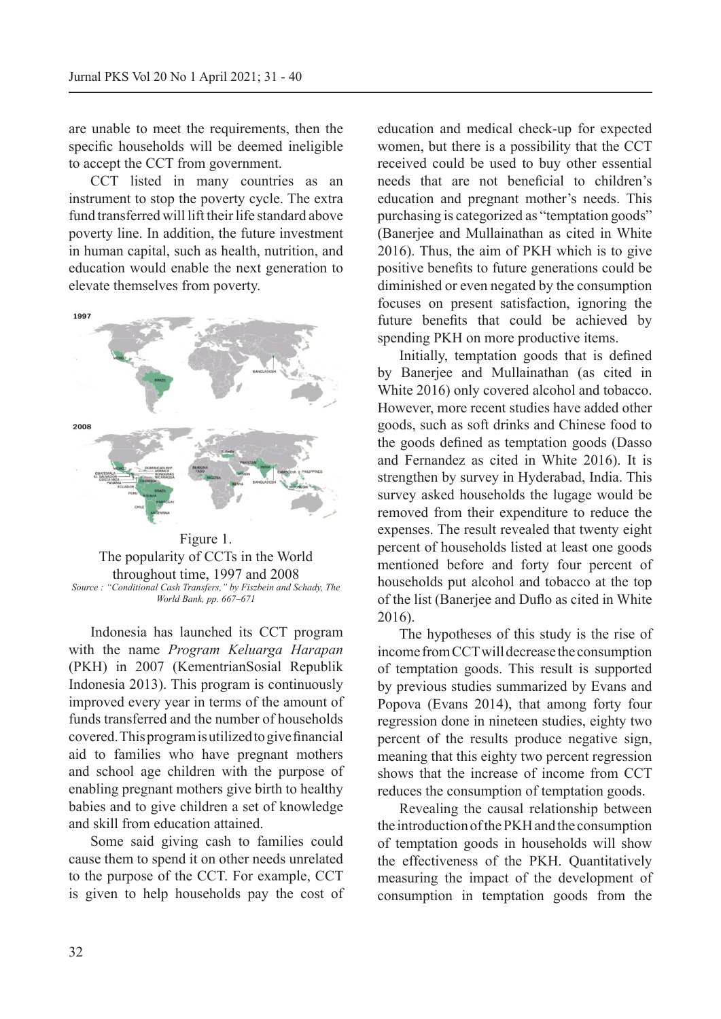are unable to meet the requirements, then the specific households will be deemed ineligible to accept the CCT from government.

CCT listed in many countries as an instrument to stop the poverty cycle. The extra fund transferred will lift their life standard above poverty line. In addition, the future investment in human capital, such as health, nutrition, and education would enable the next generation to elevate themselves from poverty.



Figure 1. The popularity of CCTs in the World throughout time, 1997 and 2008 *Source : "Conditional Cash Transfers," by Fiszbein and Schady, The World Bank, pp. 667–671*

Indonesia has launched its CCT program with the name *Program Keluarga Harapan* (PKH) in 2007 (KementrianSosial Republik Indonesia 2013). This program is continuously improved every year in terms of the amount of funds transferred and the number of households covered. This program is utilized to give financial aid to families who have pregnant mothers and school age children with the purpose of enabling pregnant mothers give birth to healthy babies and to give children a set of knowledge and skill from education attained.

Some said giving cash to families could cause them to spend it on other needs unrelated to the purpose of the CCT. For example, CCT is given to help households pay the cost of education and medical check-up for expected women, but there is a possibility that the CCT received could be used to buy other essential needs that are not beneficial to children's education and pregnant mother's needs. This purchasing is categorized as "temptation goods" (Banerjee and Mullainathan as cited in White 2016). Thus, the aim of PKH which is to give positive benefits to future generations could be diminished or even negated by the consumption focuses on present satisfaction, ignoring the future benefits that could be achieved by spending PKH on more productive items.

Initially, temptation goods that is defined by Banerjee and Mullainathan (as cited in White 2016) only covered alcohol and tobacco. However, more recent studies have added other goods, such as soft drinks and Chinese food to the goods defined as temptation goods (Dasso and Fernandez as cited in White 2016). It is strengthen by survey in Hyderabad, India. This survey asked households the lugage would be removed from their expenditure to reduce the expenses. The result revealed that twenty eight percent of households listed at least one goods mentioned before and forty four percent of households put alcohol and tobacco at the top of the list (Banerjee and Duflo as cited in White 2016).

The hypotheses of this study is the rise of income from CCT will decrease the consumption of temptation goods. This result is supported by previous studies summarized by Evans and Popova (Evans 2014), that among forty four regression done in nineteen studies, eighty two percent of the results produce negative sign, meaning that this eighty two percent regression shows that the increase of income from CCT reduces the consumption of temptation goods.

Revealing the causal relationship between the introduction of the PKH and the consumption of temptation goods in households will show the effectiveness of the PKH. Quantitatively measuring the impact of the development of consumption in temptation goods from the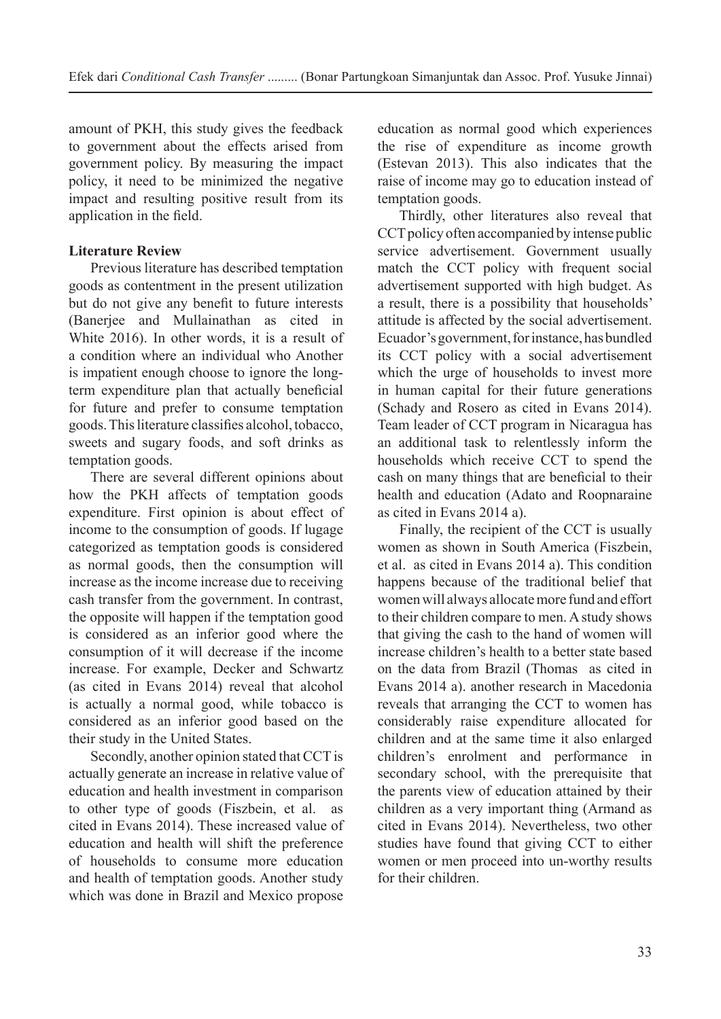amount of PKH, this study gives the feedback to government about the effects arised from government policy. By measuring the impact policy, it need to be minimized the negative impact and resulting positive result from its application in the field.

# **Literature Review**

Previous literature has described temptation goods as contentment in the present utilization but do not give any benefit to future interests (Banerjee and Mullainathan as cited in White 2016). In other words, it is a result of a condition where an individual who Another is impatient enough choose to ignore the longterm expenditure plan that actually beneficial for future and prefer to consume temptation goods. This literature classifies alcohol, tobacco, sweets and sugary foods, and soft drinks as temptation goods.

There are several different opinions about how the PKH affects of temptation goods expenditure. First opinion is about effect of income to the consumption of goods. If lugage categorized as temptation goods is considered as normal goods, then the consumption will increase as the income increase due to receiving cash transfer from the government. In contrast, the opposite will happen if the temptation good is considered as an inferior good where the consumption of it will decrease if the income increase. For example, Decker and Schwartz (as cited in Evans 2014) reveal that alcohol is actually a normal good, while tobacco is considered as an inferior good based on the their study in the United States.

Secondly, another opinion stated that CCT is actually generate an increase in relative value of education and health investment in comparison to other type of goods (Fiszbein, et al. as cited in Evans 2014). These increased value of education and health will shift the preference of households to consume more education and health of temptation goods. Another study which was done in Brazil and Mexico propose education as normal good which experiences the rise of expenditure as income growth (Estevan 2013). This also indicates that the raise of income may go to education instead of temptation goods.

Thirdly, other literatures also reveal that CCT policy often accompanied by intense public service advertisement. Government usually match the CCT policy with frequent social advertisement supported with high budget. As a result, there is a possibility that households' attitude is affected by the social advertisement. Ecuador's government, for instance, has bundled its CCT policy with a social advertisement which the urge of households to invest more in human capital for their future generations (Schady and Rosero as cited in Evans 2014). Team leader of CCT program in Nicaragua has an additional task to relentlessly inform the households which receive CCT to spend the cash on many things that are beneficial to their health and education (Adato and Roopnaraine as cited in Evans 2014 a).

Finally, the recipient of the CCT is usually women as shown in South America (Fiszbein, et al. as cited in Evans 2014 a). This condition happens because of the traditional belief that women will always allocate more fund and effort to their children compare to men. A study shows that giving the cash to the hand of women will increase children's health to a better state based on the data from Brazil (Thomas as cited in Evans 2014 a). another research in Macedonia reveals that arranging the CCT to women has considerably raise expenditure allocated for children and at the same time it also enlarged children's enrolment and performance in secondary school, with the prerequisite that the parents view of education attained by their children as a very important thing (Armand as cited in Evans 2014). Nevertheless, two other studies have found that giving CCT to either women or men proceed into un-worthy results for their children.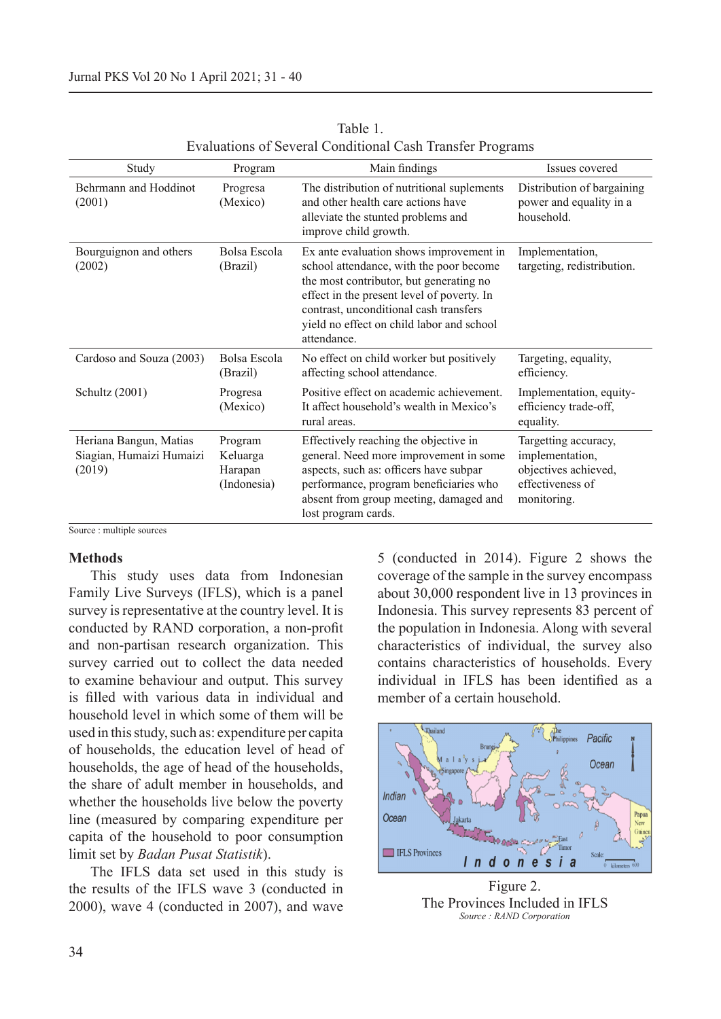| Study                                                        | Program                                       | Main findings                                                                                                                                                                                                                                                                     | Issues covered                                                                                     |
|--------------------------------------------------------------|-----------------------------------------------|-----------------------------------------------------------------------------------------------------------------------------------------------------------------------------------------------------------------------------------------------------------------------------------|----------------------------------------------------------------------------------------------------|
| Behrmann and Hoddinot<br>(2001)                              | Progresa<br>(Mexico)                          | The distribution of nutritional suplements<br>and other health care actions have<br>alleviate the stunted problems and<br>improve child growth.                                                                                                                                   | Distribution of bargaining<br>power and equality in a<br>household.                                |
| Bourguignon and others<br>(2002)                             | Bolsa Escola<br>(Brazil)                      | Ex ante evaluation shows improvement in<br>school attendance, with the poor become<br>the most contributor, but generating no<br>effect in the present level of poverty. In<br>contrast, unconditional cash transfers<br>yield no effect on child labor and school<br>attendance. | Implementation,<br>targeting, redistribution.                                                      |
| Cardoso and Souza (2003)                                     | Bolsa Escola<br>(Brazil)                      | No effect on child worker but positively<br>affecting school attendance.                                                                                                                                                                                                          | Targeting, equality,<br>efficiency.                                                                |
| Schultz (2001)                                               | Progresa<br>(Mexico)                          | Positive effect on academic achievement.<br>It affect household's wealth in Mexico's<br>rural areas.                                                                                                                                                                              | Implementation, equity-<br>efficiency trade-off,<br>equality.                                      |
| Heriana Bangun, Matias<br>Siagian, Humaizi Humaizi<br>(2019) | Program<br>Keluarga<br>Harapan<br>(Indonesia) | Effectively reaching the objective in<br>general. Need more improvement in some<br>aspects, such as: officers have subpar<br>performance, program beneficiaries who<br>absent from group meeting, damaged and<br>lost program cards.                                              | Targetting accuracy,<br>implementation,<br>objectives achieved,<br>effectiveness of<br>monitoring. |

Table 1. Evaluations of Several Conditional Cash Transfer Programs

Source : multiple sources

## **Methods**

This study uses data from Indonesian Family Live Surveys (IFLS), which is a panel survey is representative at the country level. It is conducted by RAND corporation, a non-profit and non-partisan research organization. This survey carried out to collect the data needed to examine behaviour and output. This survey is filled with various data in individual and household level in which some of them will be used in this study, such as: expenditure per capita of households, the education level of head of households, the age of head of the households, the share of adult member in households, and whether the households live below the poverty line (measured by comparing expenditure per capita of the household to poor consumption limit set by *Badan Pusat Statistik*).

The IFLS data set used in this study is the results of the IFLS wave 3 (conducted in 2000), wave 4 (conducted in 2007), and wave

5 (conducted in 2014). Figure 2 shows the coverage of the sample in the survey encompass about 30,000 respondent live in 13 provinces in Indonesia. This survey represents 83 percent of the population in Indonesia. Along with several characteristics of individual, the survey also contains characteristics of households. Every individual in IFLS has been identified as a member of a certain household.



Figure 2. The Provinces Included in IFLS *Source : RAND Corporation*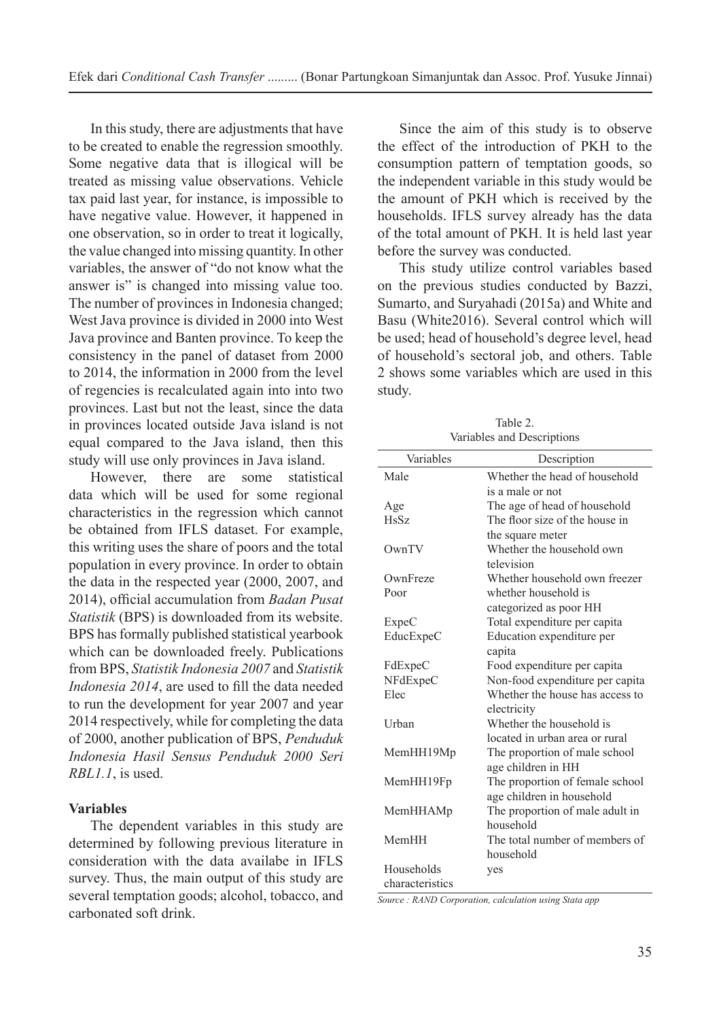In this study, there are adjustments that have to be created to enable the regression smoothly. Some negative data that is illogical will be treated as missing value observations. Vehicle tax paid last year, for instance, is impossible to have negative value. However, it happened in one observation, so in order to treat it logically, the value changed into missing quantity. In other variables, the answer of "do not know what the answer is" is changed into missing value too. The number of provinces in Indonesia changed; West Java province is divided in 2000 into West Java province and Banten province. To keep the consistency in the panel of dataset from 2000 to 2014, the information in 2000 from the level of regencies is recalculated again into into two provinces. Last but not the least, since the data in provinces located outside Java island is not equal compared to the Java island, then this study will use only provinces in Java island.

However, there are some statistical data which will be used for some regional characteristics in the regression which cannot be obtained from IFLS dataset. For example, this writing uses the share of poors and the total population in every province. In order to obtain the data in the respected year (2000, 2007, and 2014), official accumulation from *Badan Pusat Statistik* (BPS) is downloaded from its website. BPS has formally published statistical yearbook which can be downloaded freely. Publications from BPS, *Statistik Indonesia 2007* and *Statistik Indonesia 2014*, are used to fill the data needed to run the development for year 2007 and year 2014 respectively, while for completing the data of 2000, another publication of BPS, *Penduduk Indonesia Hasil Sensus Penduduk 2000 Seri RBL1.1*, is used.

## **Variables**

The dependent variables in this study are determined by following previous literature in consideration with the data availabe in IFLS survey. Thus, the main output of this study are several temptation goods; alcohol, tobacco, and carbonated soft drink.

Since the aim of this study is to observe the effect of the introduction of PKH to the consumption pattern of temptation goods, so the independent variable in this study would be the amount of PKH which is received by the households. IFLS survey already has the data of the total amount of PKH. It is held last year before the survey was conducted.

This study utilize control variables based on the previous studies conducted by Bazzi, Sumarto, and Suryahadi (2015a) and White and Basu (White2016). Several control which will be used; head of household's degree level, head of household's sectoral job, and others. Table 2 shows some variables which are used in this study.

| Table 2.                   |
|----------------------------|
| Variables and Descriptions |

| Variables       | Description                     |
|-----------------|---------------------------------|
| Male            | Whether the head of household   |
|                 | is a male or not                |
| Age             | The age of head of household    |
| <b>HsSz</b>     | The floor size of the house in  |
|                 | the square meter                |
| OwnTV           | Whether the household own       |
|                 | television                      |
| OwnFreze        | Whether household own freezer   |
| Poor            | whether household is            |
|                 | categorized as poor HH          |
| ExpeC           | Total expenditure per capita    |
| EducExpeC       | Education expenditure per       |
|                 | capita                          |
| FdExpeC         | Food expenditure per capita     |
| NFdExpeC        | Non-food expenditure per capita |
| Elec            | Whether the house has access to |
|                 | electricity                     |
| Urban           | Whether the household is        |
|                 | located in urban area or rural  |
| MemHH19Mp       | The proportion of male school   |
|                 | age children in HH              |
| MemHH19Fp       | The proportion of female school |
|                 | age children in household       |
| MemHHAMp        | The proportion of male adult in |
|                 | household                       |
| MemHH           | The total number of members of  |
|                 | household                       |
| Households      | yes                             |
| characteristics |                                 |

*Source : RAND Corporation, calculation using Stata app*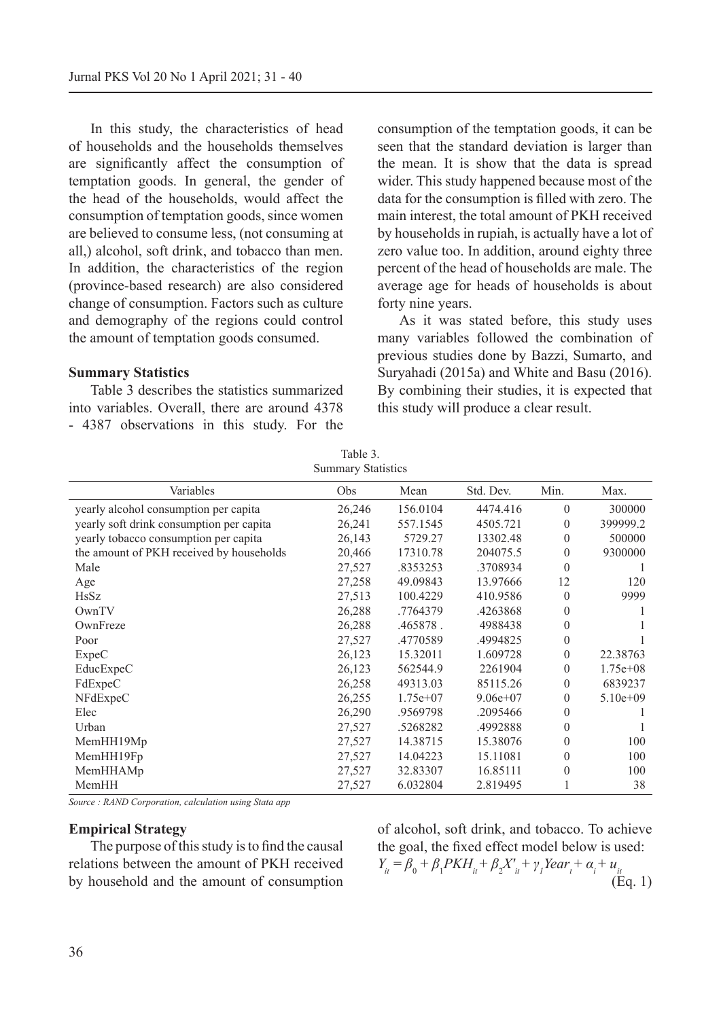In this study, the characteristics of head of households and the households themselves are significantly affect the consumption of temptation goods. In general, the gender of the head of the households, would affect the consumption of temptation goods, since women are believed to consume less, (not consuming at all,) alcohol, soft drink, and tobacco than men. In addition, the characteristics of the region (province-based research) are also considered change of consumption. Factors such as culture and demography of the regions could control the amount of temptation goods consumed.

#### **Summary Statistics**

Table 3 describes the statistics summarized into variables. Overall, there are around 4378 - 4387 observations in this study. For the consumption of the temptation goods, it can be seen that the standard deviation is larger than the mean. It is show that the data is spread wider. This study happened because most of the data for the consumption is filled with zero. The main interest, the total amount of PKH received by households in rupiah, is actually have a lot of zero value too. In addition, around eighty three percent of the head of households are male. The average age for heads of households is about forty nine years.

As it was stated before, this study uses many variables followed the combination of previous studies done by Bazzi, Sumarto, and Suryahadi (2015a) and White and Basu (2016). By combining their studies, it is expected that this study will produce a clear result.

| Summary Statistics                       |        |            |              |              |            |
|------------------------------------------|--------|------------|--------------|--------------|------------|
| Variables                                | Obs    | Mean       | Std. Dev.    | Min.         | Max.       |
| yearly alcohol consumption per capita    | 26,246 | 156.0104   | 4474.416     | $\theta$     | 300000     |
| yearly soft drink consumption per capita | 26,241 | 557.1545   | 4505.721     | $\theta$     | 399999.2   |
| yearly tobacco consumption per capita    | 26,143 | 5729.27    | 13302.48     | $\theta$     | 500000     |
| the amount of PKH received by households | 20,466 | 17310.78   | 204075.5     | $\theta$     | 9300000    |
| Male                                     | 27,527 | .8353253   | .3708934     | $\theta$     |            |
| Age                                      | 27,258 | 49.09843   | 13.97666     | 12           | 120        |
| <b>HsSz</b>                              | 27,513 | 100.4229   | 410.9586     | $\theta$     | 9999       |
| OwnTV                                    | 26,288 | .7764379   | .4263868     | $\theta$     |            |
| OwnFreze                                 | 26,288 | .465878.   | 4988438      | $\theta$     |            |
| Poor                                     | 27,527 | .4770589   | .4994825     | $\theta$     |            |
| ExpeC                                    | 26,123 | 15.32011   | 1.609728     | $\theta$     | 22.38763   |
| EducExpeC                                | 26,123 | 562544.9   | 2261904      | $\theta$     | $1.75e+08$ |
| FdExpeC                                  | 26,258 | 49313.03   | 85115.26     | $\mathbf{0}$ | 6839237    |
| NFdExpeC                                 | 26,255 | $1.75e+07$ | $9.06e + 07$ | $\theta$     | $5.10e+09$ |
| Elec                                     | 26,290 | .9569798   | .2095466     | $\theta$     |            |
| Urban                                    | 27,527 | .5268282   | .4992888     | $\theta$     |            |
| MemHH19Mp                                | 27,527 | 14.38715   | 15.38076     | $\theta$     | 100        |
| MemHH19Fp                                | 27,527 | 14.04223   | 15.11081     | $\theta$     | 100        |
| MemHHAMp                                 | 27,527 | 32.83307   | 16.85111     | $\theta$     | 100        |
| MemHH                                    | 27,527 | 6.032804   | 2.819495     |              | 38         |

Table 3. Summary Statistics

*Source : RAND Corporation, calculation using Stata app*

#### **Empirical Strategy**

The purpose of this study is to find the causal relations between the amount of PKH received by household and the amount of consumption of alcohol, soft drink, and tobacco. To achieve the goal, the fixed effect model below is used:  $Y_{it} = \beta_0 + \beta_1 PKH_{it} + \beta_2 X'_{it} + \gamma_1 Year_t + \alpha_i + u_{it}$ (Eq. 1)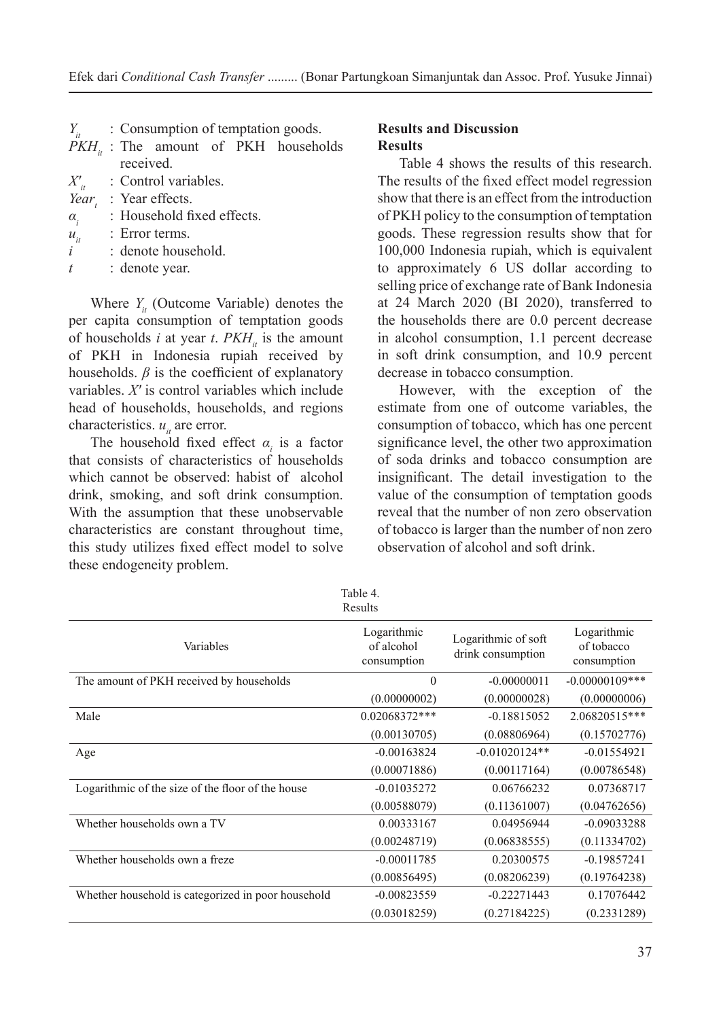|              | $Y_{it}$ : Consumption of temptation goods. |
|--------------|---------------------------------------------|
|              | $PKH_{\mu}$ : The amount of PKH households  |
|              | received.                                   |
|              | $X'_{tt}$ : Control variables.              |
|              | Year, : Year effects.                       |
| $\alpha_{i}$ | : Household fixed effects.                  |

 $u_{it}$  : Error terms.<br>*i* : denote house

*i* : denote household.

*t* : denote year.

Where  $Y_{it}$  (Outcome Variable) denotes the per capita consumption of temptation goods of households *i* at year *t*.  $PKH_{it}$  is the amount of PKH in Indonesia rupiah received by households.  $\beta$  is the coefficient of explanatory variables. *X′* is control variables which include head of households, households, and regions characteristics.  $u_{it}$  are error.

The household fixed effect  $\alpha$ <sub>*i*</sub> is a factor that consists of characteristics of households which cannot be observed: habist of alcohol drink, smoking, and soft drink consumption. With the assumption that these unobservable characteristics are constant throughout time, this study utilizes fixed effect model to solve these endogeneity problem.

## **Results and Discussion Results**

Table 4 shows the results of this research. The results of the fixed effect model regression show that there is an effect from the introduction of PKH policy to the consumption of temptation goods. These regression results show that for 100,000 Indonesia rupiah, which is equivalent to approximately 6 US dollar according to selling price of exchange rate of Bank Indonesia at 24 March 2020 (BI 2020), transferred to the households there are 0.0 percent decrease in alcohol consumption, 1.1 percent decrease in soft drink consumption, and 10.9 percent decrease in tobacco consumption.

However, with the exception of the estimate from one of outcome variables, the consumption of tobacco, which has one percent significance level, the other two approximation of soda drinks and tobacco consumption are insignificant. The detail investigation to the value of the consumption of temptation goods reveal that the number of non zero observation of tobacco is larger than the number of non zero observation of alcohol and soft drink.

|                                                    | Table 4.<br>Results                      |                                          |                                          |
|----------------------------------------------------|------------------------------------------|------------------------------------------|------------------------------------------|
| Variables                                          | Logarithmic<br>of alcohol<br>consumption | Logarithmic of soft<br>drink consumption | Logarithmic<br>of tobacco<br>consumption |
| The amount of PKH received by households           | $\theta$                                 | $-0.00000011$                            | $-0.00000109$ ***                        |
|                                                    | (0.00000002)                             | (0.00000028)                             | (0.00000006)                             |
| Male                                               | 0.02068372***                            | $-0.18815052$                            | 2.06820515***                            |
|                                                    | (0.00130705)                             | (0.08806964)                             | (0.15702776)                             |
| Age                                                | $-0.00163824$                            | $-0.01020124**$                          | $-0.01554921$                            |
|                                                    | (0.00071886)                             | (0.00117164)                             | (0.00786548)                             |
| Logarithmic of the size of the floor of the house  | $-0.01035272$                            | 0.06766232                               | 0.07368717                               |
|                                                    | (0.00588079)                             | (0.11361007)                             | (0.04762656)                             |
| Whether households own a TV                        | 0.00333167                               | 0.04956944                               | $-0.09033288$                            |
|                                                    | (0.00248719)                             | (0.06838555)                             | (0.11334702)                             |
| Whether households own a freze                     | $-0.00011785$                            | 0.20300575                               | $-0.19857241$                            |
|                                                    | (0.00856495)                             | (0.08206239)                             | (0.19764238)                             |
| Whether household is categorized in poor household | $-0.00823559$                            | $-0.22271443$                            | 0.17076442                               |
|                                                    | (0.03018259)                             | (0.27184225)                             | (0.2331289)                              |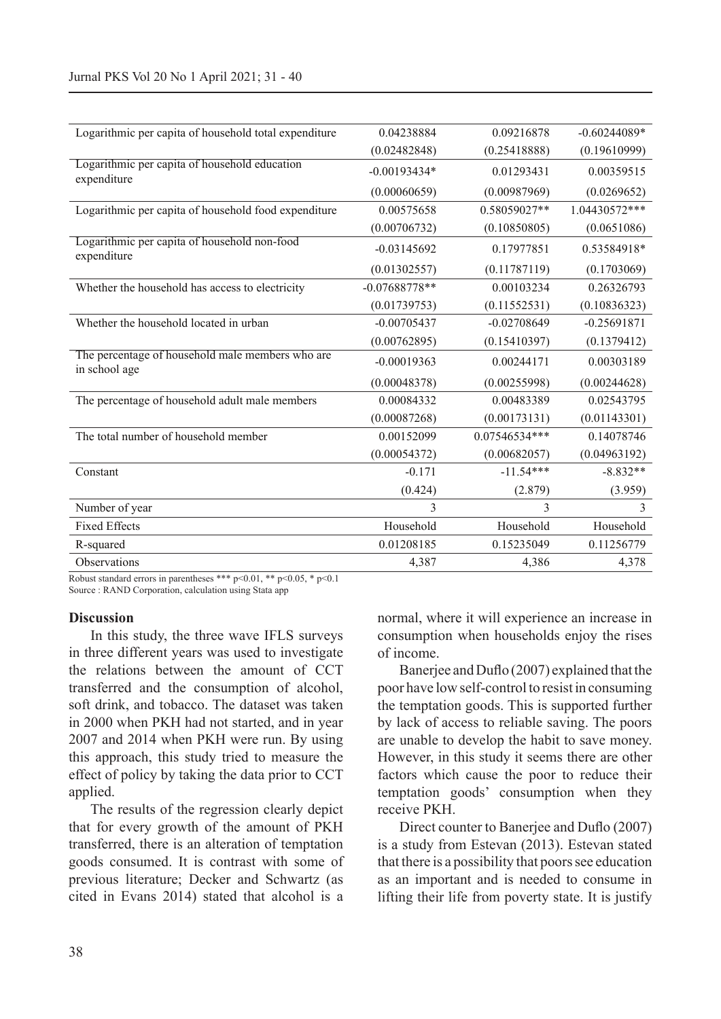| Logarithmic per capita of household total expenditure             | 0.04238884      | 0.09216878    | $-0.60244089*$ |
|-------------------------------------------------------------------|-----------------|---------------|----------------|
|                                                                   | (0.02482848)    | (0.25418888)  | (0.19610999)   |
| Logarithmic per capita of household education<br>expenditure      | $-0.00193434*$  | 0.01293431    | 0.00359515     |
|                                                                   | (0.00060659)    | (0.00987969)  | (0.0269652)    |
| Logarithmic per capita of household food expenditure              | 0.00575658      | 0.58059027**  | 1.04430572***  |
|                                                                   | (0.00706732)    | (0.10850805)  | (0.0651086)    |
| Logarithmic per capita of household non-food<br>expenditure       | $-0.03145692$   | 0.17977851    | 0.53584918*    |
|                                                                   | (0.01302557)    | (0.11787119)  | (0.1703069)    |
| Whether the household has access to electricity                   | $-0.07688778**$ | 0.00103234    | 0.26326793     |
|                                                                   | (0.01739753)    | (0.11552531)  | (0.10836323)   |
| Whether the household located in urban                            | $-0.00705437$   | $-0.02708649$ | $-0.25691871$  |
|                                                                   | (0.00762895)    | (0.15410397)  | (0.1379412)    |
| The percentage of household male members who are<br>in school age | $-0.00019363$   | 0.00244171    | 0.00303189     |
|                                                                   | (0.00048378)    | (0.00255998)  | (0.00244628)   |
| The percentage of household adult male members                    | 0.00084332      | 0.00483389    | 0.02543795     |
|                                                                   | (0.00087268)    | (0.00173131)  | (0.01143301)   |
| The total number of household member                              | 0.00152099      | 0.07546534*** | 0.14078746     |
|                                                                   | (0.00054372)    | (0.00682057)  | (0.04963192)   |
| Constant                                                          | $-0.171$        | $-11.54***$   | $-8.832**$     |
|                                                                   | (0.424)         | (2.879)       | (3.959)        |
| Number of year                                                    | 3               | 3             | 3              |
| <b>Fixed Effects</b>                                              | Household       | Household     | Household      |
| R-squared                                                         | 0.01208185      | 0.15235049    | 0.11256779     |
| Observations                                                      | 4,387           | 4,386         | 4,378          |

Robust standard errors in parentheses \*\*\*  $p \le 0.01$ , \*\*  $p \le 0.05$ , \*  $p \le 0.1$ Source : RAND Corporation, calculation using Stata app

#### **Discussion**

In this study, the three wave IFLS surveys in three different years was used to investigate the relations between the amount of CCT transferred and the consumption of alcohol, soft drink, and tobacco. The dataset was taken in 2000 when PKH had not started, and in year 2007 and 2014 when PKH were run. By using this approach, this study tried to measure the effect of policy by taking the data prior to CCT applied.

The results of the regression clearly depict that for every growth of the amount of PKH transferred, there is an alteration of temptation goods consumed. It is contrast with some of previous literature; Decker and Schwartz (as cited in Evans 2014) stated that alcohol is a normal, where it will experience an increase in consumption when households enjoy the rises of income.

Banerjee and Duflo (2007) explained that the poor have low self-control to resist in consuming the temptation goods. This is supported further by lack of access to reliable saving. The poors are unable to develop the habit to save money. However, in this study it seems there are other factors which cause the poor to reduce their temptation goods' consumption when they receive PKH.

Direct counter to Banerjee and Duflo (2007) is a study from Estevan (2013). Estevan stated that there is a possibility that poors see education as an important and is needed to consume in lifting their life from poverty state. It is justify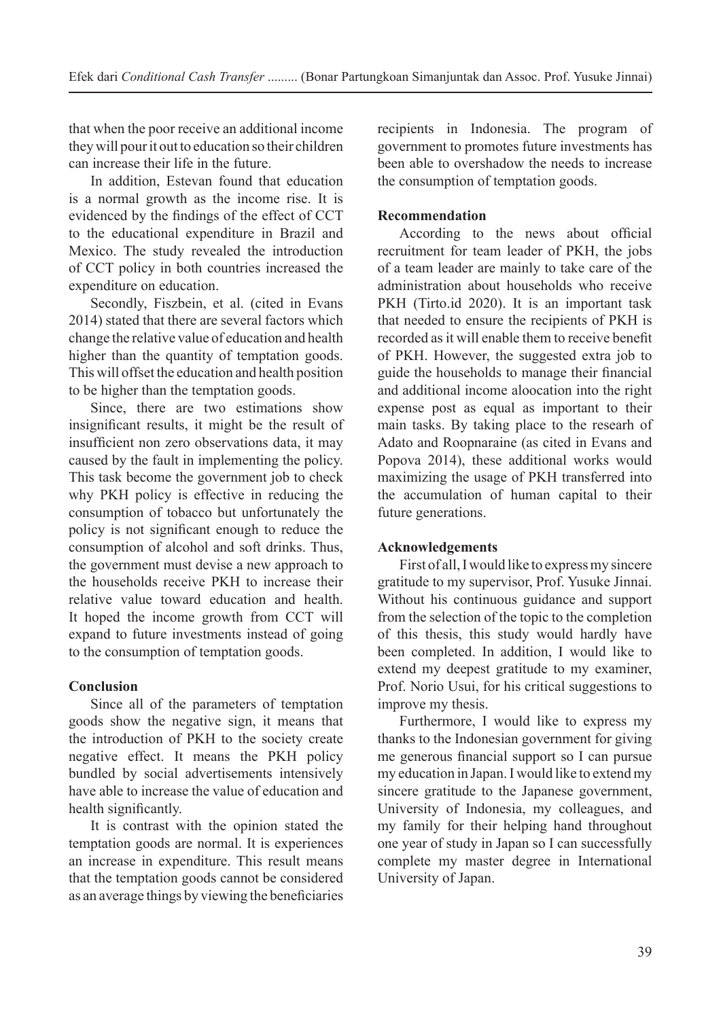that when the poor receive an additional income they will pour it out to education so their children can increase their life in the future.

In addition, Estevan found that education is a normal growth as the income rise. It is evidenced by the findings of the effect of CCT to the educational expenditure in Brazil and Mexico. The study revealed the introduction of CCT policy in both countries increased the expenditure on education.

Secondly, Fiszbein, et al. (cited in Evans 2014) stated that there are several factors which change the relative value of education and health higher than the quantity of temptation goods. This will offset the education and health position to be higher than the temptation goods.

Since, there are two estimations show insignificant results, it might be the result of insufficient non zero observations data, it may caused by the fault in implementing the policy. This task become the government job to check why PKH policy is effective in reducing the consumption of tobacco but unfortunately the policy is not significant enough to reduce the consumption of alcohol and soft drinks. Thus, the government must devise a new approach to the households receive PKH to increase their relative value toward education and health. It hoped the income growth from CCT will expand to future investments instead of going to the consumption of temptation goods.

# **Conclusion**

Since all of the parameters of temptation goods show the negative sign, it means that the introduction of PKH to the society create negative effect. It means the PKH policy bundled by social advertisements intensively have able to increase the value of education and health significantly.

It is contrast with the opinion stated the temptation goods are normal. It is experiences an increase in expenditure. This result means that the temptation goods cannot be considered as an average things by viewing the beneficiaries

recipients in Indonesia. The program of government to promotes future investments has been able to overshadow the needs to increase the consumption of temptation goods.

# **Recommendation**

According to the news about official recruitment for team leader of PKH, the jobs of a team leader are mainly to take care of the administration about households who receive PKH (Tirto.id 2020). It is an important task that needed to ensure the recipients of PKH is recorded as it will enable them to receive benefit of PKH. However, the suggested extra job to guide the households to manage their financial and additional income aloocation into the right expense post as equal as important to their main tasks. By taking place to the researh of Adato and Roopnaraine (as cited in Evans and Popova 2014), these additional works would maximizing the usage of PKH transferred into the accumulation of human capital to their future generations.

# **Acknowledgements**

First of all, I would like to express my sincere gratitude to my supervisor, Prof. Yusuke Jinnai. Without his continuous guidance and support from the selection of the topic to the completion of this thesis, this study would hardly have been completed. In addition, I would like to extend my deepest gratitude to my examiner, Prof. Norio Usui, for his critical suggestions to improve my thesis.

Furthermore, I would like to express my thanks to the Indonesian government for giving me generous financial support so I can pursue my education in Japan. I would like to extend my sincere gratitude to the Japanese government, University of Indonesia, my colleagues, and my family for their helping hand throughout one year of study in Japan so I can successfully complete my master degree in International University of Japan.